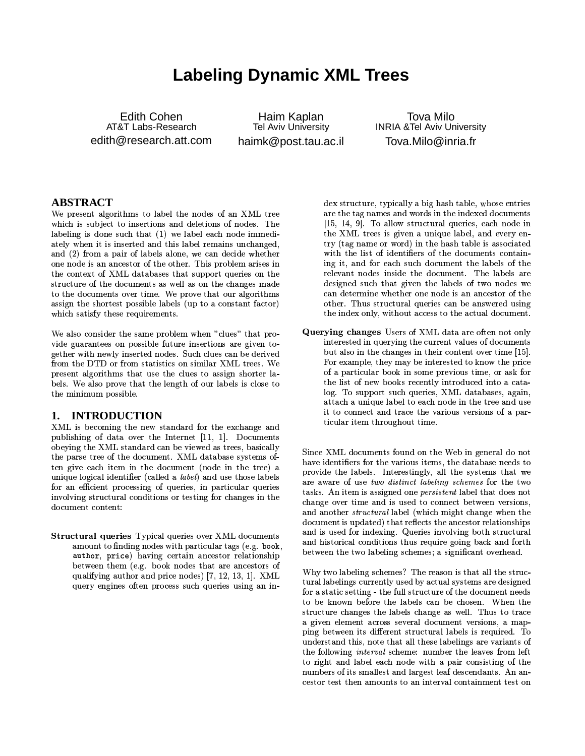# **Labeling Dynamic XML Trees**

**Edith Cohen** AT&T Labs-Research edith@research.att.com

Haim Kaplan Tel Aviv University haimk@post.tau.ac.il

**Tova Milo INRIA & Tel Aviv University** Tova.Milo@inria.fr

### **ABSTRACT**

We present algorithms to label the nodes of an XML tree which is subject to insertions and deletions of nodes. The labeling is done such that (1) we label each node immediately when it is inserted and this label remains unchanged, and (2) from a pair of labels alone, we can decide whether one node is an ancestor of the other. This problem arises in the context of XML databases that support queries on the structure of the documents as well as on the changes made to the documents over time. We prove that our algorithms assign the shortest possible labels (up to a constant factor) which satisfy these requirements.

We also consider the same problem when "clues" that provide guarantees on possible future insertions are given together with newly inserted nodes. Such clues can be derived from the DTD or from statistics on similar XML trees. We present algorithms that use the clues to assign shorter labels. We also prove that the length of our labels is close to the minimum possible.

#### **INTRODUCTION** 1.

XML is becoming the new standard for the exchange and publishing of data over the Internet [11, 1]. Documents obeying the XML standard can be viewed as trees, basically the parse tree of the document. XML database systems often give each item in the document (node in the tree) a unique logical identifier (called a *label*) and use those labels for an efficient processing of queries, in particular queries involving structural conditions or testing for changes in the document content:

Structural queries Typical queries over XML documents amount to finding nodes with particular tags (e.g. book, author, price) having certain ancestor relationship between them (e.g. book nodes that are ancestors of qualifying author and price nodes) [7, 12, 13, 1]. XML query engines often process such queries using an index structure, typically a big hash table, whose entries are the tag names and words in the indexed documents  $[15, 14, 9]$ . To allow structural queries, each node in the XML trees is given a unique label, and every entry (tag name or word) in the hash table is associated with the list of identifiers of the documents containing it, and for each such document the labels of the relevant nodes inside the document. The labels are designed such that given the labels of two nodes we can determine whether one node is an ancestor of the other. Thus structural queries can be answered using the index only, without access to the actual document.

Querying changes Users of XML data are often not only interested in querying the current values of documents but also in the changes in their content over time [15]. For example, they may be interested to know the price of a particular book in some previous time, or ask for the list of new books recently introduced into a catalog. To support such queries, XML databases, again, attach a unique label to each node in the tree and use it to connect and trace the various versions of a particular item throughout time.

Since XML documents found on the Web in general do not have identifiers for the various items, the database needs to provide the labels. Interestingly, all the systems that we are aware of use two distinct labeling schemes for the two tasks. An item is assigned one *persistent* label that does not change over time and is used to connect between versions. and another *structural* label (which might change when the document is updated) that reflects the ancestor relationships and is used for indexing. Queries involving both structural and historical conditions thus require going back and forth between the two labeling schemes; a significant overhead.

Why two labeling schemes? The reason is that all the structural labelings currently used by actual systems are designed for a static setting - the full structure of the document needs to be known before the labels can be chosen. When the structure changes the labels change as well. Thus to trace a given element across several document versions, a mapping between its different structural labels is required. To understand this, note that all these labelings are variants of the following *interval* scheme: number the leaves from left to right and label each node with a pair consisting of the numbers of its smallest and largest leaf descendants. An ancestor test then amounts to an interval containment test on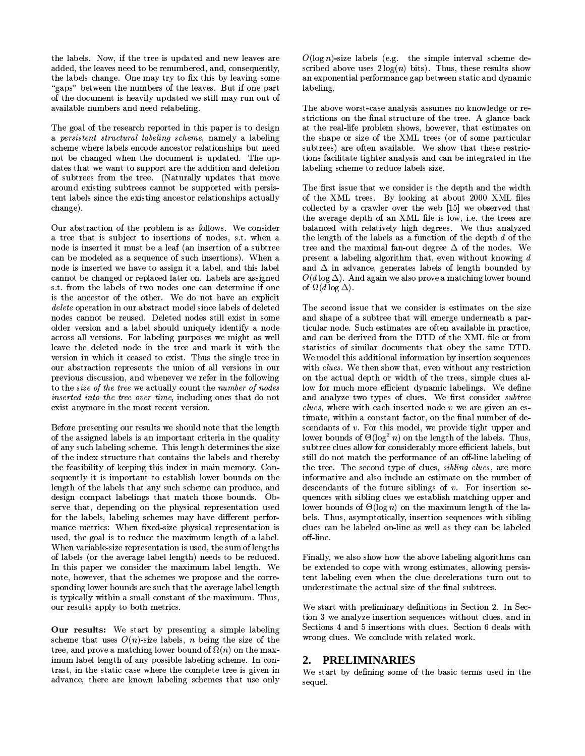the labels. Now, if the tree is updated and new leaves are added, the leaves need to be renumbered, and, consequently, the labels change. One may try to fix this by leaving some "gaps" between the numbers of the leaves. But if one part of the document is heavily updated we still may run out of available numbers and need relabeling.

The goal of the research reported in this paper is to design a persistent structural labeling scheme, namely a labeling scheme where labels encode ancestor relationships but need not be changed when the document is updated. The updates that we want to support are the addition and deletion of subtrees from the tree. (Naturally updates that move around existing subtrees cannot be supported with persistent labels since the existing ancestor relationships actually change).

Our abstraction of the problem is as follows. We consider a tree that is subject to insertions of nodes, s.t. when a node is inserted it must be a leaf (an insertion of a subtree can be modeled as a sequence of such insertions). When a node is inserted we have to assign it a label, and this label cannot be changed or replaced later on. Labels are assigned s.t. from the labels of two nodes one can determine if one is the ancestor of the other. We do not have an explicit *delete* operation in our abstract model since labels of deleted nodes cannot be reused. Deleted nodes still exist in some older version and a label should uniquely identify a node across all versions. For labeling purposes we might as well leave the deleted node in the tree and mark it with the version in which it ceased to exist. Thus the single tree in our abstraction represents the union of all versions in our previous discussion, and whenever we refer in the following to the size of the tree we actually count the number of nodes inserted into the tree over time, including ones that do not exist anymore in the most recent version.

Before presenting our results we should note that the length of the assigned labels is an important criteria in the quality of any such labeling scheme. This length determines the size of the index structure that contains the labels and thereby the feasibility of keeping this index in main memory. Consequently it is important to establish lower bounds on the length of the labels that any such scheme can produce, and design compact labelings that match those bounds. Observe that, depending on the physical representation used for the labels, labeling schemes may have different performance metrics: When fixed-size physical representation is used, the goal is to reduce the maximum length of a label. When variable-size representation is used, the sum of lengths of labels (or the average label length) needs to be reduced. In this paper we consider the maximum label length. We note, however, that the schemes we propose and the corresponding lower bounds are such that the average label length is typically within a small constant of the maximum. Thus, our results apply to both metrics.

Our results: We start by presenting a simple labeling scheme that uses  $O(n)$ -size labels, *n* being the size of the tree, and prove a matching lower bound of  $\Omega(n)$  on the maximum label length of any possible labeling scheme. In contrast, in the static case where the complete tree is given in advance, there are known labeling schemes that use only  $O(\log n)$ -size labels (e.g. the simple interval scheme described above uses  $2\log(n)$  bits). Thus, these results show an exponential performance gap between static and dynamic labeling.

The above worst-case analysis assumes no knowledge or restrictions on the final structure of the tree. A glance back at the real-life problem shows, however, that estimates on the shape or size of the XML trees (or of some particular subtrees) are often available. We show that these restrictions facilitate tighter analysis and can be integrated in the labeling scheme to reduce labels size.

The first issue that we consider is the depth and the width of the XML trees. By looking at about 2000 XML files collected by a crawler over the web [15] we observed that the average depth of an XML file is low, i.e. the trees are balanced with relatively high degrees. We thus analyzed the length of the labels as a function of the depth  $d$  of the tree and the maximal fan-out degree  $\Delta$  of the nodes. We present a labeling algorithm that, even without knowing  $d$ and  $\Delta$  in advance, generates labels of length bounded by  $O(d \log \Delta)$ . And again we also prove a matching lower bound of  $\Omega(d \log \Delta)$ .

The second issue that we consider is estimates on the size and shape of a subtree that will emerge underneath a particular node. Such estimates are often available in practice. and can be derived from the DTD of the XML file or from statistics of similar documents that obey the same DTD. We model this additional information by insertion sequences with clues. We then show that, even without any restriction on the actual depth or width of the trees, simple clues allow for much more efficient dynamic labelings. We define and analyze two types of clues. We first consider subtree *clues*, where with each inserted node  $v$  we are given an estimate, within a constant factor, on the final number of descendants of  $v$ . For this model, we provide tight upper and lower bounds of  $\Theta(\log^2 n)$  on the length of the labels. Thus, subtree clues allow for considerably more efficient labels, but still do not match the performance of an off-line labeling of the tree. The second type of clues, *sibling clues*, are more informative and also include an estimate on the number of descendants of the future siblings of  $v$ . For insertion sequences with sibling clues we establish matching upper and lower bounds of  $\Theta(\log n)$  on the maximum length of the labels. Thus, asymptotically, insertion sequences with sibling clues can be labeled on-line as well as they can be labeled off-line.

Finally, we also show how the above labeling algorithms can be extended to cope with wrong estimates, allowing persistent labeling even when the clue decelerations turn out to underestimate the actual size of the final subtrees.

We start with preliminary definitions in Section 2. In Section 3 we analyze insertion sequences without clues, and in Sections 4 and 5 insertions with clues. Section 6 deals with wrong clues. We conclude with related work.

### 2. PRELIMINARIES

We start by defining some of the basic terms used in the sequel.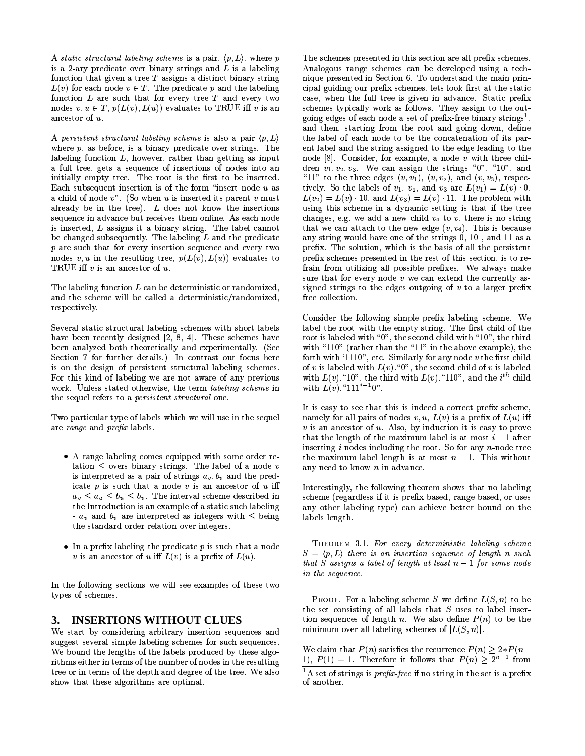A static structural labeling scheme is a pair,  $\langle p, L \rangle$ , where p is a 2-ary predicate over binary strings and  $L$  is a labeling function that given a tree  $T$  assigns a distinct binary string  $L(v)$  for each node  $v \in T$ . The predicate p and the labeling function  $L$  are such that for every tree  $T$  and every two nodes  $v, u \in T$ ,  $p(L(v), L(u))$  evaluates to TRUE iff v is an ancestor of u.

A persistent structural labeling scheme is also a pair  $\langle p, L \rangle$ where  $p$ , as before, is a binary predicate over strings. The labeling function  $L$ , however, rather than getting as input a full tree, gets a sequence of insertions of nodes into an initially empty tree. The root is the first to be inserted. Each subsequent insertion is of the form "insert node  $u$  as a child of node  $v$ ". (So when u is inserted its parent v must already be in the tree).  $L$  does not know the insertions sequence in advance but receives them online. As each node is inserted, L assigns it a binary string. The label cannot be changed subsequently. The labeling  $L$  and the predicate  $p$  are such that for every insertion sequence and every two nodes v, u in the resulting tree,  $p(L(v), L(u))$  evaluates to TRUE iff  $v$  is an ancestor of  $u$ .

The labeling function  $L$  can be deterministic or randomized, and the scheme will be called a deterministic/randomized, respectively.

Several static structural labeling schemes with short labels have been recently designed [2, 8, 4]. These schemes have been analyzed both theoretically and experimentally. (See Section 7 for further details.) In contrast our focus here is on the design of persistent structural labeling schemes. For this kind of labeling we are not aware of any previous work. Unless stated otherwise, the term labeling scheme in the sequel refers to a *persistent structural* one.

Two particular type of labels which we will use in the sequel are range and prefix labels.

- A range labeling comes equipped with some order relation  $\leq$  overs binary strings. The label of a node v is interpreted as a pair of strings  $a_v, b_v$  and the predicate  $p$  is such that a node  $v$  is an ancestor of  $u$  iff  $a_v \leq a_u \leq b_u \leq b_v$ . The interval scheme described in the Introduction is an example of a static such labeling -  $a_v$  and  $b_v$  are interpreted as integers with  $\leq$  being the standard order relation over integers.
- $\bullet$  In a prefix labeling the predicate p is such that a node v is an ancestor of u iff  $L(v)$  is a prefix of  $L(u)$ .

In the following sections we will see examples of these two types of schemes.

### 3. INSERTIONS WITHOUT CLUES

We start by considering arbitrary insertion sequences and suggest several simple labeling schemes for such sequences. We bound the lengths of the labels produced by these algorithms either in terms of the number of nodes in the resulting tree or in terms of the depth and degree of the tree. We also show that these algorithms are optimal.

The schemes presented in this section are all prefix schemes. Analogous range schemes can be developed using a technique presented in Section 6. To understand the main principal guiding our prefix schemes, lets look first at the static case, when the full tree is given in advance. Static prefix schemes typically work as follows. They assign to the outgoing edges of each node a set of prefix-free binary strings<sup>1</sup>. and then, starting from the root and going down, define the label of each node to be the concatenation of its parent label and the string assigned to the edge leading to the node  $[8]$ . Consider, for example, a node  $v$  with three children  $v_1, v_2, v_3$ . We can assign the strings "0", "10", and "11" to the three edges  $(v, v_1)$ ,  $(v, v_2)$ , and  $(v, v_3)$ , respectively. So the labels of  $v_1$ ,  $v_2$ , and  $v_3$  are  $L(v_1) = L(v) \cdot 0$ ,  $L(v_2) = L(v) \cdot 10$ , and  $L(v_3) = L(v) \cdot 11$ . The problem with using this scheme in a dynamic setting is that if the tree changes, e.g. we add a new child  $v_4$  to v, there is no string that we can attach to the new edge  $(v, v_4)$ . This is because any string would have one of the strings 0, 10, and 11 as a prefix. The solution, which is the basis of all the persistent prefix schemes presented in the rest of this section, is to refrain from utilizing all possible prefixes. We always make sure that for every node  $v$  we can extend the currently assigned strings to the edges outgoing of  $v$  to a larger prefix free collection.

Consider the following simple prefix labeling scheme. We label the root with the empty string. The first child of the root is labeled with "0", the second child with "10", the third with "110" (rather than the "11" in the above example), the forth with '1110", etc. Similarly for any node  $v$  the first child of v is labeled with  $L(v)$ . "0", the second child of v is labeled with  $L(v)$ . "10", the third with  $L(v)$ . "110", and the  $i^{th}$  child<br>with  $L(v)$ . "111<sup>i-1</sup>0".

It is easy to see that this is indeed a correct prefix scheme, namely for all pairs of nodes  $v, u, L(v)$  is a prefix of  $L(u)$  iff  $v$  is an ancestor of  $u$ . Also, by induction it is easy to prove that the length of the maximum label is at most  $i-1$  after inserting  $i$  nodes including the root. So for any  $n$ -node tree the maximum label length is at most  $n-1$ . This without any need to know  $n$  in advance.

Interestingly, the following theorem shows that no labeling scheme (regardless if it is prefix based, range based, or uses any other labeling type) can achieve better bound on the labels length.

THEOREM 3.1. For every deterministic labeling scheme  $S = \langle p, L \rangle$  there is an insertion sequence of length n such that S assigns a label of length at least  $n-1$  for some node in the sequence.

**PROOF.** For a labeling scheme S we define  $L(S, n)$  to be the set consisting of all labels that  $S$  uses to label insertion sequences of length n. We also define  $P(n)$  to be the minimum over all labeling schemes of  $|L(S, n)|$ .

We claim that  $P(n)$  satisfies the recurrence  $P(n) \geq 2*P(n-1)$ 1),  $P(1) = 1$ . Therefore it follows that  $P(n) > 2^{n-1}$  from

<sup>&</sup>lt;sup>1</sup>A set of strings is *prefix-free* if no string in the set is a prefix of another.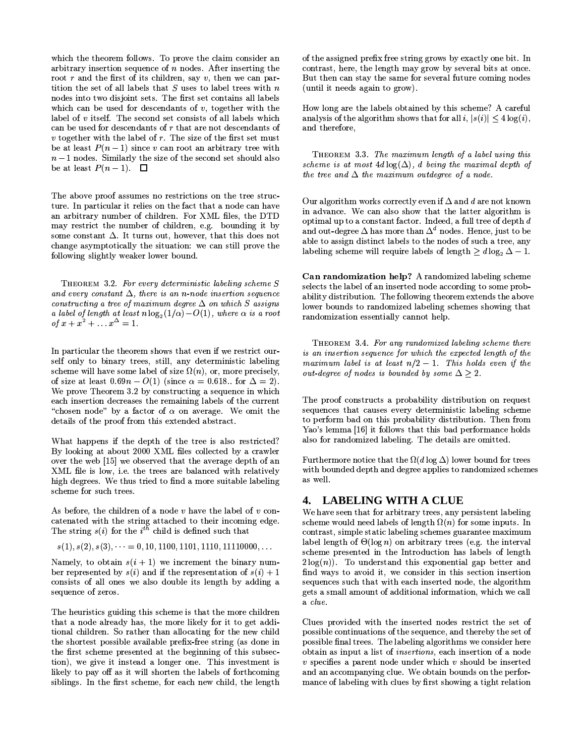which the theorem follows. To prove the claim consider an arbitrary insertion sequence of  $n$  nodes. After inserting the root  $r$  and the first of its children, say  $v$ , then we can partition the set of all labels that  $S$  uses to label trees with  $n$ nodes into two disjoint sets. The first set contains all labels which can be used for descendants of  $v$ , together with the label of  $v$  itself. The second set consists of all labels which can be used for descendants of  $r$  that are not descendants of  $v$  together with the label of  $r$ . The size of the first set must be at least  $P(n-1)$  since v can root an arbitrary tree with  $n-1$  nodes. Similarly the size of the second set should also be at least  $P(n-1)$ .  $\Box$ 

The above proof assumes no restrictions on the tree structure. In particular it relies on the fact that a node can have an arbitrary number of children. For XML files, the DTD may restrict the number of children, e.g. bounding it by some constant  $\Delta$ . It turns out, however, that this does not change asymptotically the situation: we can still prove the following slightly weaker lower bound.

THEOREM 3.2. For every deterministic labeling scheme S and every constant  $\Delta$ , there is an n-node insertion sequence constructing a tree of maximum degree  $\Delta$  on which S assigns a label of length at least  $n \log_2(1/\alpha) - O(1)$ , where  $\alpha$  is a root of  $x + x^2 + ... x^{\Delta} = 1$ .

In particular the theorem shows that even if we restrict ourself only to binary trees, still, any deterministic labeling scheme will have some label of size  $\Omega(n)$ , or, more precisely, of size at least  $0.69n - O(1)$  (since  $\alpha = 0.618$ . for  $\Delta = 2$ ). We prove Theorem 3.2 by constructing a sequence in which each insertion decreases the remaining labels of the current "chosen node" by a factor of  $\alpha$  on average. We omit the details of the proof from this extended abstract.

What happens if the depth of the tree is also restricted? By looking at about 2000 XML files collected by a crawler over the web [15] we observed that the average depth of an XML file is low, i.e. the trees are balanced with relatively high degrees. We thus tried to find a more suitable labeling scheme for such trees.

As before, the children of a node  $v$  have the label of  $v$  concatenated with the string attached to their incoming edge. The string  $s(i)$  for the  $i^{t\bar{h}}$  child is defined such that

 $s(1), s(2), s(3), \dots = 0, 10, 1100, 1101, 1110, 11110000, \dots$ 

Namely, to obtain  $s(i + 1)$  we increment the binary number represented by  $s(i)$  and if the representation of  $s(i) + 1$ consists of all ones we also double its length by adding a sequence of zeros.

The heuristics guiding this scheme is that the more children that a node already has, the more likely for it to get additional children. So rather than allocating for the new child the shortest possible available prefix-free string (as done in the first scheme presented at the beginning of this subsection), we give it instead a longer one. This investment is likely to pay off as it will shorten the labels of forthcoming siblings. In the first scheme, for each new child, the length of the assigned prefix free string grows by exactly one bit. In contrast, here, the length may grow by several bits at once. But then can stay the same for several future coming nodes (until it needs again to grow).

How long are the labels obtained by this scheme? A careful analysis of the algorithm shows that for all  $i, |s(i)| < 4 \log(i)$ , and therefore,

THEOREM 3.3. The maximum length of a label using this scheme is at most  $4d \log(\Delta)$ , d being the maximal depth of the tree and  $\Delta$  the maximum outdegree of a node.

Our algorithm works correctly even if  $\Delta$  and d are not known in advance. We can also show that the latter algorithm is optimal up to a constant factor. Indeed, a full tree of depth d and out-degree  $\Delta$  has more than  $\Delta^d$  nodes. Hence, just to be able to assign distinct labels to the nodes of such a tree, any labeling scheme will require labels of length  $\geq d \log_2 \Delta - 1$ .

Can randomization help? A randomized labeling scheme selects the label of an inserted node according to some probability distribution. The following theorem extends the above lower bounds to randomized labeling schemes showing that randomization essentially cannot help.

THEOREM 3.4. For any randomized labeling scheme there is an insertion sequence for which the expected length of the maximum label is at least  $n/2 - 1$ . This holds even if the out-degree of nodes is bounded by some  $\Delta \geq 2$ .

The proof constructs a probability distribution on request sequences that causes every deterministic labeling scheme to perform bad on this probability distribution. Then from Yao's lemma [16] it follows that this bad performance holds also for randomized labeling. The details are omitted.

Furthermore notice that the  $\Omega(d \log \Delta)$  lower bound for trees with bounded depth and degree applies to randomized schemes as well.

## 4. LABELING WITH A CLUE

We have seen that for arbitrary trees, any persistent labeling scheme would need labels of length  $\Omega(n)$  for some inputs. In contrast, simple static labeling schemes guarantee maximum label length of  $\Theta(\log n)$  on arbitrary trees (e.g. the interval scheme presented in the Introduction has labels of length  $2\log(n)$ ). To understand this exponential gap better and find ways to avoid it, we consider in this section insertion sequences such that with each inserted node, the algorithm gets a small amount of additional information, which we call a clue.

Clues provided with the inserted nodes restrict the set of possible continuations of the sequence, and thereby the set of possible final trees. The labeling algorithms we consider here obtain as input a list of *insertions*, each insertion of a node  $v$  specifies a parent node under which  $v$  should be inserted and an accompanying clue. We obtain bounds on the performance of labeling with clues by first showing a tight relation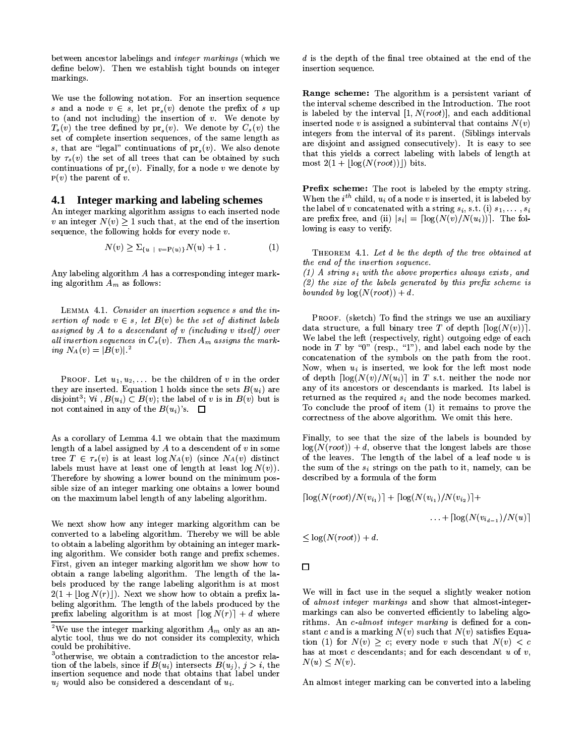between ancestor labelings and *integer markings* (which we define below). Then we establish tight bounds on integer markings.

We use the following notation. For an insertion sequence s and a node  $v \in s$ , let  $pr_s(v)$  denote the prefix of s up to (and not including) the insertion of  $v$ . We denote by  $T_s(v)$  the tree defined by pr<sub>s</sub> $(v)$ . We denote by  $C_s(v)$  the set of complete insertion sequences, of the same length as s, that are "legal" continuations of  $pr_s(v)$ . We also denote by  $\tau_s(v)$  the set of all trees that can be obtained by such continuations of  $pr_s(v)$ . Finally, for a node v we denote by  $P(v)$  the parent of v.

### 4.1 Integer marking and labeling schemes

An integer marking algorithm assigns to each inserted node v an integer  $N(v) > 1$  such that, at the end of the insertion sequence, the following holds for every node  $v$ .

$$
N(v) \ge \sum_{\{u \ |\ v = P(u)\}} N(u) + 1 \tag{1}
$$

Any labeling algorithm A has a corresponding integer marking algorithm  $\overline{A}_m$  as follows:

LEMMA 4.1. Consider an insertion sequence s and the insertion of node  $v \in s$ , let  $B(v)$  be the set of distinct labels assigned by  $A$  to a descendant of  $v$  (including  $v$  itself) over all insertion sequences in  $C_s(v)$ . Then  $A_m$  assigns the marking  $N_A(v) = |B(v)|^{2}$ 

**PROOF.** Let  $u_1, u_2, \ldots$  be the children of v in the order they are inserted. Equation 1 holds since the sets  $B(u_i)$  are disjoint<sup>3</sup>;  $\forall i$ ,  $B(u_i) \subset B(v)$ ; the label of v is in  $B(v)$  but is not contained in any of the  $B(u_i)$ 's.  $\Box$ 

As a corollary of Lemma 4.1 we obtain that the maximum length of a label assigned by  $A$  to a descendent of  $v$  in some tree  $T \in \tau_s(v)$  is at least  $\log N_A(v)$  (since  $N_A(v)$  distinct labels must have at least one of length at least  $log N(v)$ . Therefore by showing a lower bound on the minimum possible size of an integer marking one obtains a lower bound on the maximum label length of any labeling algorithm.

We next show how any integer marking algorithm can be converted to a labeling algorithm. Thereby we will be able to obtain a labeling algorithm by obtaining an integer marking algorithm. We consider both range and prefix schemes. First, given an integer marking algorithm we show how to obtain a range labeling algorithm. The length of the labels produced by the range labeling algorithm is at most  $2(1+|\log N(r)|)$ . Next we show how to obtain a prefix labeling algorithm. The length of the labels produced by the prefix labeling algorithm is at most  $\lceil \log N(r) \rceil + d$  where

 $d$  is the depth of the final tree obtained at the end of the insertion sequence.

Range scheme: The algorithm is a persistent variant of the interval scheme described in the Introduction. The root is labeled by the interval  $[1, N(root)]$ , and each additional inserted node v is assigned a subinterval that contains  $N(v)$ integers from the interval of its parent. (Siblings intervals are disjoint and assigned consecutively). It is easy to see that this yields a correct labeling with labels of length at most  $2(1+|\log(N(root))|)$  bits.

Prefix scheme: The root is labeled by the empty string. When the  $i^{th}$  child,  $u_i$  of a node v is inserted, it is labeled by the label of v concatenated with a string  $s_i$ , s.t. (i)  $s_1, \ldots, s_i$ are prefix free, and (ii)  $|s_i| = \lceil \log(N(v)/N(u_i)) \rceil$ . The following is easy to verify.

THEOREM 4.1. Let d be the depth of the tree obtained at the end of the insertion sequence.  $(1)$  A string  $s_i$  with the above properties always exists, and

 $(2)$  the size of the labels generated by this prefix scheme is bounded by  $log(N(root)) + d$ .

PROOF. (sketch) To find the strings we use an auxiliary data structure, a full binary tree T of depth  $\lceil \log(N(v)) \rceil$ . We label the left (respectively, right) outgoing edge of each node in  $T$  by "0" (resp., "1"), and label each node by the concatenation of the symbols on the path from the root. Now, when  $u_i$  is inserted, we look for the left most node of depth  $\lceil \log(N(v)/N(u_i)) \rceil$  in T s.t. neither the node nor any of its ancestors or descendants is marked. Its label is returned as the required  $s_i$  and the node becomes marked. To conclude the proof of item (1) it remains to prove the correctness of the above algorithm. We omit this here.

Finally, to see that the size of the labels is bounded by  $log(N(root)) + d$ , observe that the longest labels are those of the leaves. The length of the label of a leaf node  $u$  is the sum of the  $s_i$  strings on the path to it, namely, can be described by a formula of the form

$$
\lceil \log(N(root)/N(v_{i_1}) \rceil + \lceil \log(N(v_{i_1})/N(v_{i_2}) \rceil + \dots + \lceil \log(N(v_{i_{d-1}})/N(u) \rceil
$$

$$
\leq \log(N(root)) + d
$$

 $\Box$ 

We will in fact use in the sequel a slightly weaker notion of *almost integer markings* and show that almost-integermarkings can also be converted efficiently to labeling algorithms. An c-almost integer marking is defined for a constant c and is a marking  $N(v)$  such that  $N(v)$  satisfies Equation (1) for  $N(v) > c$ ; every node v such that  $N(v) < c$ has at most  $c$  descendants; and for each descendant  $u$  of  $v$ ,  $N(u) \leq N(v)$ .

An almost integer marking can be converted into a labeling

<sup>&</sup>lt;sup>2</sup>We use the integer marking algorithm  $A_m$  only as an analytic tool, thus we do not consider its complexity, which could be prohibitive.

<sup>&</sup>lt;sup>3</sup>otherwise, we obtain a contradiction to the ancestor relation of the labels, since if  $B(u_i)$  intersects  $B(u_i)$ ,  $j > i$ , the insertion sequence and node that obtains that label under  $u_i$  would also be considered a descendant of  $u_i$ .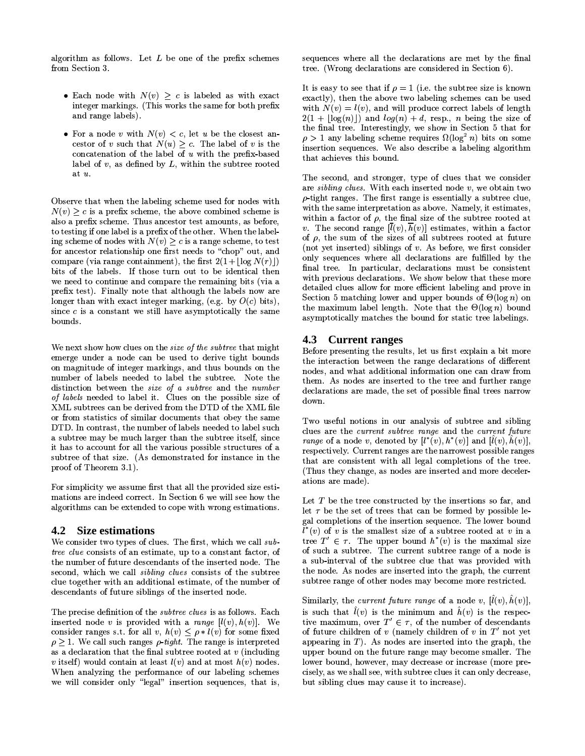algorithm as follows. Let  $L$  be one of the prefix schemes from Section 3.

- Each node with  $N(v) > c$  is labeled as with exact integer markings. (This works the same for both prefix and range labels).
- For a node v with  $N(v) < c$ , let u be the closest ancestor of v such that  $N(u) > c$ . The label of v is the concatenation of the label of  $u$  with the prefix-based label of  $v$ , as defined by  $L$ , within the subtree rooted at  $u$ .

Observe that when the labeling scheme used for nodes with  $N(v) > c$  is a prefix scheme, the above combined scheme is also a prefix scheme. Thus ancestor test amounts, as before, to testing if one label is a prefix of the other. When the labeling scheme of nodes with  $N(v) \geq c$  is a range scheme, to test for ancestor relationship one first needs to "chop" out, and compare (via range containment), the first  $2(1 + |\log N(r)|)$ bits of the labels. If those turn out to be identical then we need to continue and compare the remaining bits (via a prefix test). Finally note that although the labels now are longer than with exact integer marking, (e.g. by  $O(c)$  bits), since  $c$  is a constant we still have asymptotically the same bounds.

We next show how clues on the *size of the subtree* that might emerge under a node can be used to derive tight bounds on magnitude of integer markings, and thus bounds on the number of labels needed to label the subtree. Note the distinction between the size of a subtree and the number of labels needed to label it. Clues on the possible size of XML subtrees can be derived from the DTD of the XML file or from statistics of similar documents that obey the same DTD. In contrast, the number of labels needed to label such a subtree may be much larger than the subtree itself, since it has to account for all the various possible structures of a subtree of that size. (As demonstrated for instance in the proof of Theorem 3.1).

For simplicity we assume first that all the provided size estimations are indeed correct. In Section 6 we will see how the algorithms can be extended to cope with wrong estimations.

#### 4.2 Size estimations

We consider two types of clues. The first, which we call subtree clue consists of an estimate, up to a constant factor, of the number of future descendants of the inserted node. The second, which we call *sibling clues* consists of the subtree clue together with an additional estimate, of the number of descendants of future siblings of the inserted node.

The precise definition of the *subtree clues* is as follows. Each inserted node v is provided with a range  $[l(v), h(v)]$ . We consider ranges s.t. for all v,  $h(v) \leq \rho * l(v)$  for some fixed  $\rho \geq 1$ . We call such ranges  $\rho$ -tight. The range is interpreted as a declaration that the final subtree rooted at  $v$  (including v itself) would contain at least  $l(v)$  and at most  $h(v)$  nodes. When analyzing the performance of our labeling schemes we will consider only "legal" insertion sequences, that is,

sequences where all the declarations are met by the final tree. (Wrong declarations are considered in Section 6).

It is easy to see that if  $\rho = 1$  (i.e. the subtree size is known exactly), then the above two labeling schemes can be used with  $N(v) = l(v)$ , and will produce correct labels of length  $2(1 + \lfloor \log(n) \rfloor)$  and  $log(n) + d$ , resp., *n* being the size of the final tree. Interestingly, we show in Section 5 that for  $\rho > 1$  any labeling scheme requires  $\Omega(\log^2 n)$  bits on some insertion sequences. We also describe a labeling algorithm that achieves this bound.

The second, and stronger, type of clues that we consider are sibling clues. With each inserted node  $v$ , we obtain two  $\rho$ -tight ranges. The first range is essentially a subtree clue, with the same interpretation as above. Namely, it estimates, within a factor of  $\rho$ , the final size of the subtree rooted at v. The second range  $[\bar{l}(v), \bar{h}(v)]$  estimates, within a factor of  $\rho$ , the sum of the sizes of all subtrees rooted at future (not yet inserted) siblings of  $v$ . As before, we first consider only sequences where all declarations are fulfilled by the final tree. In particular, declarations must be consistent with previous declarations. We show below that these more detailed clues allow for more efficient labeling and prove in Section 5 matching lower and upper bounds of  $\Theta(\log n)$  on the maximum label length. Note that the  $\Theta(\log n)$  bound asymptotically matches the bound for static tree labelings.

### 4.3 Current ranges

Before presenting the results, let us first explain a bit more the interaction between the range declarations of different nodes, and what additional information one can draw from them. As nodes are inserted to the tree and further range declarations are made, the set of possible final trees narrow down.

Two useful notions in our analysis of subtree and sibling clues are the current subtree range and the current future range of a node v, denoted by  $[l^*(v), h^*(v)]$  and  $[\hat{l}(v), \hat{h}(v)]$ , respectively. Current ranges are the narrowest possible ranges that are consistent with all legal completions of the tree. (Thus they change, as nodes are inserted and more decelerations are made).

Let  $T$  be the tree constructed by the insertions so far, and let  $\tau$  be the set of trees that can be formed by possible legal completions of the insertion sequence. The lower bound  $l^*(v)$  of v is the smallest size of a subtree rooted at v in a tree  $T' \in \tau$ . The upper bound  $h^*(v)$  is the maximal size of such a subtree. The current subtree range of a node is a sub-interval of the subtree clue that was provided with the node. As nodes are inserted into the graph, the current subtree range of other nodes may become more restricted.

Similarly, the *current future range* of a node v,  $[\tilde{l}(v), \tilde{h}(v)],$ is such that  $\hat{l}(v)$  is the minimum and  $\hat{h}(v)$  is the respective maximum, over  $T' \in \tau$ , of the number of descendants of future children of  $v$  (namely children of  $v$  in  $T'$  not yet appearing in  $T$ ). As nodes are inserted into the graph, the upper bound on the future range may become smaller. The lower bound, however, may decrease or increase (more precisely, as we shall see, with subtree clues it can only decrease, but sibling clues may cause it to increase).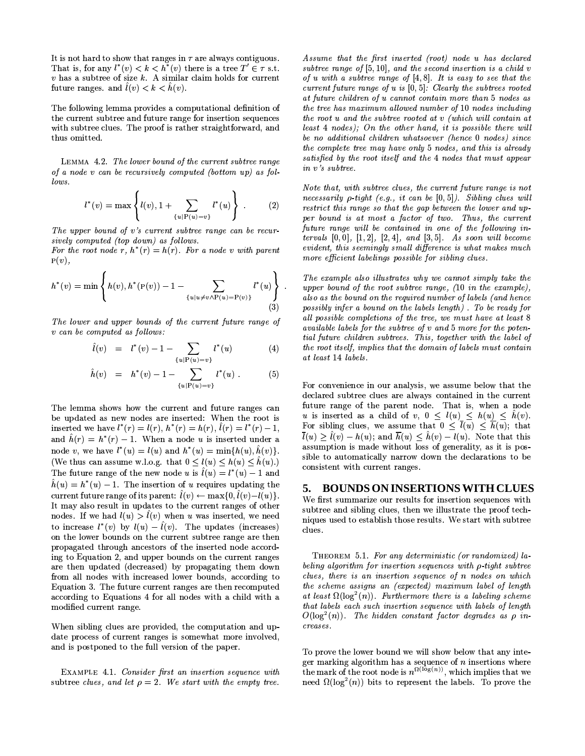It is not hard to show that ranges in  $\tau$  are always contiguous. That is, for any  $l^*(v) < k < h^*(v)$  there is a tree  $T' \in \tau$  s.t.  $v$  has a subtree of size  $k$ . A similar claim holds for current future ranges. and  $\hat{l}(v) < k < \hat{h}(v)$ .

The following lemma provides a computational definition of the current subtree and future range for insertion sequences with subtree clues. The proof is rather straightforward, and thus omitted.

LEMMA 4.2. The lower bound of the current subtree range of a node v can be recursively computed (bottom up) as fol $lows$ 

$$
l^*(v) = \max \left\{ l(v), 1 + \sum_{\{u \mid P(u) = v\}} l^*(u) \right\} .
$$
 (2)

The upper bound of v's current subtree range can be recursively computed (top down) as follows.

For the root node r,  $h^*(r) = h(r)$ . For a node v with parent  $P(v)$ ,

$$
h^*(v) = \min \left\{ h(v), h^*(P(v)) - 1 - \sum_{\{u \mid u \neq v \land P(u) = P(v)\}} l^*(u) \right\}
$$
(3)

The lower and upper bounds of the current future range of v can be computed as follows:

$$
\hat{l}(v) = l^*(v) - 1 - \sum_{\{u \mid P(u) = v\}} l^*(u) \tag{4}
$$

$$
\hat{h}(v) = h^*(v) - 1 - \sum_{\{u \mid P(u) = v\}} l^*(u) . \tag{5}
$$

The lemma shows how the current and future ranges can be updated as new nodes are inserted: When the root is inserted we have  $l^*(r) = l(r)$ ,  $h^*(r) = h(r)$ ,  $l(r) = l^*(r) - 1$ , and  $\hat{h}(r) = h^*(r) - 1$ . When a node u is inserted under a node v, we have  $l^*(u) = l(u)$  and  $h^*(u) = \min\{h(u), \hat{h}(v)\}.$ (We thus can assume w.l.o.g. that  $0 \le l(u) \le h(u) \le \hat{h}(u)$ .) The future range of the new node u is  $\hat{l}(u) = l^*(u) - 1$  and  $\hat{h}(u) = h^{*}(u) - 1$ . The insertion of u requires updating the current future range of its parent:  $\hat{l}(v) \leftarrow \max\{0, \hat{l}(v) - l(u)\}.$ It may also result in updates to the current ranges of other nodes. If we had  $l(u) > l(v)$  when u was inserted, we need to increase  $l^*(v)$  by  $l(u) - \hat{l}(v)$ . The updates (increases) on the lower bounds on the current subtree range are then propagated through ancestors of the inserted node according to Equation 2, and upper bounds on the current ranges are then updated (decreased) by propagating them down from all nodes with increased lower bounds, according to Equation 3. The future current ranges are then recomputed according to Equations 4 for all nodes with a child with a modified current range.

When sibling clues are provided, the computation and update process of current ranges is somewhat more involved. and is postponed to the full version of the paper.

EXAMPLE 4.1. Consider first an insertion sequence with subtree clues, and let  $\rho = 2$ . We start with the empty tree.

Assume that the first inserted (root) node u has declared subtree range of  $[5, 10]$ , and the second insertion is a child v of u with a subtree range of  $[4, 8]$ . It is easy to see that the current future range of  $u$  is  $[0,5]$ : Clearly the subtrees rooted at future children of u cannot contain more than 5 nodes as the tree has maximum allowed number of 10 nodes including the root u and the subtree rooted at v (which will contain at least 4 nodes); On the other hand, it is possible there will be no additional children whatsoever (hence 0 nodes) since the complete tree may have only 5 nodes, and this is already satisfied by the root itself and the 4 nodes that must appear  $in \ v's \ subtree.$ 

Note that, with subtree clues, the current future range is not necessarily  $\rho$ -tight (e.g., it can be  $[0,5]$ ). Sibling clues will restrict this range so that the gap between the lower and upper bound is at most a factor of two. Thus, the current future range will be contained in one of the following intervals  $[0,0]$ ,  $[1,2]$ ,  $[2,4]$ , and  $[3,5]$ . As soon will become evident, this seemingly small difference is what makes much more efficient labelings possible for sibling clues.

The example also illustrates why we cannot simply take the upper bound of the root subtree range, (10 in the example), also as the bound on the required number of labels (and hence possibly infer a bound on the labels length). To be ready for all possible completions of the tree, we must have at least 8  $available$  labels for the subtree of  $v$  and  $5$  more for the potential future children subtrees. This, together with the label of the root itself, implies that the domain of labels must contain at least 14 labels.

For convenience in our analysis, we assume below that the declared subtree clues are always contained in the current future range of the parent node. That is, when a node u is inserted as a child of v,  $0 \leq l(u) \leq h(u) \leq \tilde{h}(v)$ . For sibling clues, we assume that  $0 \leq \bar{l}(u) \leq \bar{h}(u)$ ; that  $\bar{l}(u) > \hat{l}(v) - h(u)$ ; and  $\bar{h}(u) < \hat{h}(v) - l(u)$ . Note that this assumption is made without loss of generality, as it is possible to automatically narrow down the declarations to be consistent with current ranges.

#### **BOUNDS ON INSERTIONS WITH CLUES** 5.

We first summarize our results for insertion sequences with subtree and sibling clues, then we illustrate the proof techniques used to establish those results. We start with subtree clues.

THEOREM 5.1. For any deterministic (or randomized) labeling algorithm for insertion sequences with  $\rho$ -tight subtree clues, there is an insertion sequence of  $n$  nodes on which the scheme assigns an (expected) maximum label of length at least  $\Omega(\log^2(n))$ . Furthermore there is a labeling scheme that labels each such insertion sequence with labels of length  $O(\log^2(n))$ . The hidden constant factor degrades as  $\rho$  in $creases.$ 

To prove the lower bound we will show below that any integer marking algorithm has a sequence of  $n$  insertions where the mark of the root node is  $n^{\Omega(\log(n))}$ , which implies that we need  $\Omega(\log^2(n))$  bits to represent the labels. To prove the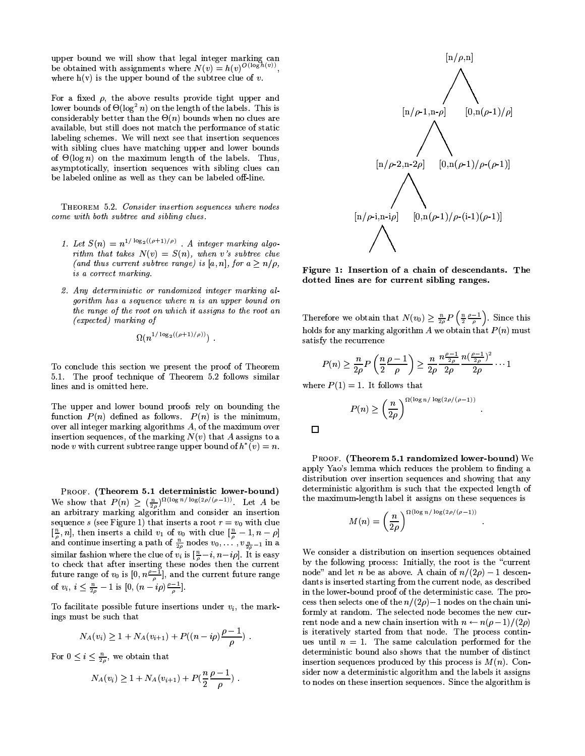upper bound we will show that legal integer marking can be obtained with assignments where  $N(v) = h(v)^{O(\log h(v))}$ , where  $h(v)$  is the upper bound of the subtree clue of v.

For a fixed  $\rho$ , the above results provide tight upper and lower bounds of  $\Theta(\log^2 n)$  on the length of the labels. This is considerably better than the  $\Theta(n)$  bounds when no clues are available, but still does not match the performance of static labeling schemes. We will next see that insertion sequences with sibling clues have matching upper and lower bounds of  $\Theta(\log n)$  on the maximum length of the labels. Thus, asymptotically, insertion sequences with sibling clues can be labeled online as well as they can be labeled off-line.

THEOREM 5.2. Consider insertion sequences where nodes come with both subtree and sibling clues.

- 1. Let  $S(n) = n^{1/\log_2((\rho+1)/\rho)}$ . A integer marking algorithm that takes  $N(v) = S(n)$ , when v's subtree clue (and thus current subtree range) is [a, n], for  $a \ge n/\rho$ , is a correct marking.
- 2. Any deterministic or randomized integer marking algorithm has a sequence where n is an upper bound on the range of the root on which it assigns to the root an  $(expected)$  marking of

$$
\Omega(n^{1/\log_2((\rho+1)/\rho)}))
$$

To conclude this section we present the proof of Theorem 5.1. The proof technique of Theorem 5.2 follows similar lines and is omitted here.

The upper and lower bound proofs rely on bounding the function  $P(n)$  defined as follows.  $P(n)$  is the minimum, over all integer marking algorithms  $A$ , of the maximum over insertion sequences, of the marking  $N(v)$  that A assigns to a node v with current subtree range upper bound of  $h^*(v) = n$ .

PROOF. (Theorem 5.1 deterministic lower-bound) We show that  $P(n) \geq \left(\frac{n}{2\rho}\right)^{\Omega(\log n/\log(2\rho/(\rho-1))})$ . Let A be an arbitrary marking algorithm and consider an insertion sequence s (see Figure 1) that inserts a root  $r = v_0$  with clue  $\left[\frac{n}{\rho}, n\right]$ , then inserts a child  $v_1$  of  $v_0$  with clue  $\left[\frac{n}{\rho} - 1, n - \rho\right]$ <br>and continue inserting a path of  $\frac{n}{2\rho}$  nodes  $v_0, \ldots, v_{\frac{n}{2\rho}-1}$  in a similar fashion where the clue of  $v_i$  is  $\left[\frac{n}{\rho} - i, n - i\rho\right]$ . It is easy to check that after inserting these nodes then the current future range of  $v_0$  is  $[0, n\frac{\rho-1}{\rho}]$ , and the current future range of  $v_i, i \leq \frac{n}{2\rho} - 1$  is  $[0, (n - i\rho)\frac{\rho - 1}{\rho}]$ .

To facilitate possible future insertions under  $v_i$ , the markings must be such that

$$
N_A(v_i) \geq 1 + N_A(v_{i+1}) + P((n - i\rho)\frac{\rho - 1}{\rho}).
$$

For  $0 \leq i \leq \frac{n}{20}$ , we obtain that

$$
N_A(v_i) \geq 1 + N_A(v_{i+1}) + P(\frac{n}{2}\frac{\rho-1}{\rho}) \; .
$$



Figure 1: Insertion of a chain of descendants. The dotted lines are for current sibling ranges.

Therefore we obtain that  $N(v_0) \geq \frac{n}{2\rho} P\left(\frac{n}{2} \frac{\rho-1}{\rho}\right)$ . Since this holds for any marking algorithm  $A$  we obtain that  $P(n)$  must satisfy the recurrence

$$
P(n) \geq \frac{n}{2\rho} P\left(\frac{n}{2}\frac{\rho-1}{\rho}\right) \geq \frac{n}{2\rho} \frac{n^{\frac{\rho-1}{2\rho}}}{2\rho} \frac{n^{\left(\frac{\rho-1}{2\rho}\right)^2}}{2\rho} \cdots 1
$$

where  $P(1) = 1$ . It follows that

$$
P(n) \ge \left(\frac{n}{2\rho}\right)^{\Omega(\log n/\log(2\rho/(\rho-1))}
$$

 $\Box$ 

PROOF. (Theorem 5.1 randomized lower-bound) We apply Yao's lemma which reduces the problem to finding a distribution over insertion sequences and showing that any deterministic algorithm is such that the expected length of the maximum-length label it assigns on these sequences is

$$
M(n)=\left(\frac{n}{2\rho}\right)^{\Omega(\log n/\log(2\rho/(\rho-1))}
$$

We consider a distribution on insertion sequences obtained by the following process: Initially, the root is the "current node" and let n be as above. A chain of  $n/(2\rho) - 1$  descendants is inserted starting from the current node, as described in the lower-bound proof of the deterministic case. The process then selects one of the  $n/(2\rho)$  – 1 nodes on the chain uniformly at random. The selected node becomes the new current node and a new chain insertion with  $n \leftarrow n(\rho-1)/(2\rho)$ is iteratively started from that node. The process continues until  $n = 1$ . The same calculation performed for the deterministic bound also shows that the number of distinct insertion sequences produced by this process is  $M(n)$ . Consider now a deterministic algorithm and the labels it assigns to nodes on these insertion sequences. Since the algorithm is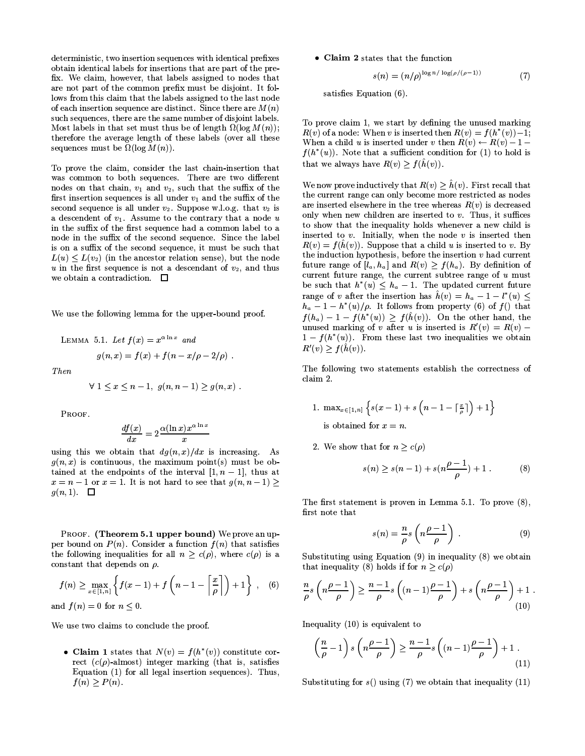deterministic, two insertion sequences with identical prefixes obtain identical labels for insertions that are part of the prefix. We claim, however, that labels assigned to nodes that are not part of the common prefix must be disjoint. It follows from this claim that the labels assigned to the last node of each insertion sequence are distinct. Since there are  $M(n)$ such sequences, there are the same number of disjoint labels. Most labels in that set must thus be of length  $\Omega(\log M(n))$ ; therefore the average length of these labels (over all these sequences must be  $\Omega(\log M(n))$ .

To prove the claim, consider the last chain-insertion that was common to both sequences. There are two different nodes on that chain,  $v_1$  and  $v_2$ , such that the suffix of the first insertion sequences is all under  $v_1$  and the suffix of the second sequence is all under  $v_2$ . Suppose w.l.o.g. that  $v_2$  is a descendent of  $v_1$ . Assume to the contrary that a node  $u$ in the suffix of the first sequence had a common label to a node in the suffix of the second sequence. Since the label is on a suffix of the second sequence, it must be such that  $L(u) \leq L(v_2)$  (in the ancestor relation sense), but the node  $u$  in the first sequence is not a descendant of  $v_2$ , and thus we obtain a contradiction.  $\Box$ 

We use the following lemma for the upper-bound proof.

LEMMA 5.1. Let 
$$
f(x) = x^{\alpha \ln x}
$$
 and  

$$
g(n,x) = f(x) + f(n - x/\rho - 2/\rho)
$$

Then

$$
\forall 1 \le x \le n-1, g(n, n-1) \ge g(n, x) .
$$

PROOF

$$
\frac{df(x)}{dx}=2\frac{\alpha(\ln x)x^{\alpha\ln x}}{x}
$$

using this we obtain that  $dg(n,x)/dx$  is increasing. As  $g(n, x)$  is continuous, the maximum point(s) must be obtained at the endpoints of the interval  $[1, n - 1]$ , thus at  $x = n - 1$  or  $x = 1$ . It is not hard to see that  $g(n, n - 1) \ge$  $g(n,1)$ .  $\square$ 

PROOF. (Theorem 5.1 upper bound) We prove an upper bound on  $P(n)$ . Consider a function  $f(n)$  that satisfies the following inequalities for all  $n \geq c(\rho)$ , where  $c(\rho)$  is a constant that depends on  $\rho$ .

$$
f(n) \ge \max_{x \in [1,n]} \left\{ f(x-1) + f\left(n-1 - \left\lceil \frac{x}{\rho} \right\rceil \right) + 1 \right\}, \quad (6)
$$
  
and  $f(n) = 0$  for  $n \le 0$ .

We use two claims to conclude the proof.

• Claim 1 states that  $N(v) = f(h^*(v))$  constitute correct  $(c(\rho)$ -almost) integer marking (that is, satisfies Equation (1) for all legal insertion sequences). Thus,  $f(n) \geq P(n)$ .

• Claim 2 states that the function

$$
s(n) = (n/\rho)^{\log n/\log(\rho/(\rho-1))} \tag{7}
$$

satisfies Equation (6).

To prove claim 1, we start by defining the unused marking  $R(v)$  of a node: When v is inserted then  $R(v) = f(h^*(v)) - 1$ ; When a child u is inserted under v then  $R(v) \leftarrow R(v) - 1$  $f(h^*(u))$ . Note that a sufficient condition for (1) to hold is that we always have  $R(v) > f(h(v))$ .

We now prove inductively that  $R(v) > \hat{h}(v)$ . First recall that the current range can only become more restricted as nodes are inserted elsewhere in the tree whereas  $R(v)$  is decreased only when new children are inserted to  $v$ . Thus, it suffices to show that the inequality holds whenever a new child is inserted to  $v$ . Initially, when the node  $v$  is inserted then  $R(v) = f(h(v))$ . Suppose that a child u is inserted to v. By the induction hypothesis, before the insertion  $v$  had current future range of  $[l_a, h_a]$  and  $R(v) \ge f(h_a)$ . By definition of current future range, the current subtree range of  $u$  must be such that  $h^*(u) \leq h_a - 1$ . The updated current future range of v after the insertion has  $\hat{h}(v) = h_a - 1 - l^*(u) \leq$  $h_a - 1 - h^*(u)/\rho$ . It follows from property (6) of  $f()$  that  $f(h_a) - 1 - f(h^*(u)) \ge f(\hat{h}(v))$ . On the other hand, the unused marking of v after u is inserted is  $R'(v) = R(v)$ .  $1 - f(h^*(u))$ . From these last two inequalities we obtain  $R'(v) \geq f(\hat{h}(v)).$ 

The following two statements establish the correctness of claim 2.

1. 
$$
\max_{x \in [1,n]} \left\{ s(x-1) + s\left(n-1-\lceil \frac{x}{\rho} \rceil \right) + 1 \right\}
$$
 is obtained for  $x = n$ .

2. We show that for  $n \geq c(\rho)$ 

$$
s(n) \ge s(n-1) + s(n\frac{\rho-1}{\rho}) + 1.
$$
 (8)

The first statement is proven in Lemma 5.1. To prove (8), first note that

$$
s(n) = \frac{n}{\rho} s\left(n\frac{\rho - 1}{\rho}\right) \tag{9}
$$

Substituting using Equation (9) in inequality (8) we obtain that inequality (8) holds if for  $n \geq c(\rho)$ 

$$
\frac{n}{\rho}s\left(n\frac{\rho-1}{\rho}\right) \ge \frac{n-1}{\rho}s\left((n-1)\frac{\rho-1}{\rho}\right) + s\left(n\frac{\rho-1}{\rho}\right) + 1\tag{10}
$$

Inequality  $(10)$  is equivalent to

$$
\left(\frac{n}{\rho} - 1\right) s \left(n \frac{\rho - 1}{\rho}\right) \ge \frac{n - 1}{\rho} s \left((n - 1) \frac{\rho - 1}{\rho}\right) + 1.
$$
\n(11)

Substituting for  $s()$  using (7) we obtain that inequality (11)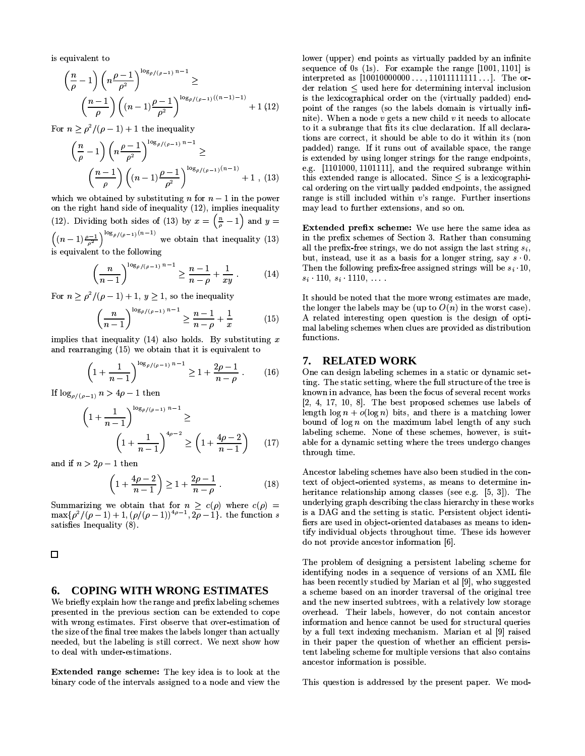is equivalent to

$$
\left(\frac{n}{\rho} - 1\right) \left(n \frac{\rho - 1}{\rho^2}\right)^{\log_{\rho/(\rho-1)} n - 1} \ge
$$
\n
$$
\left(\frac{n - 1}{\rho}\right) \left((n - 1) \frac{\rho - 1}{\rho^2}\right)^{\log_{\rho/(\rho-1)} ((n - 1) - 1)} + 1 (12)
$$

For  $n \geq \rho^2/(\rho - 1) + 1$  the inequality

$$
\left(\frac{n}{\rho} - 1\right) \left(n \frac{\rho - 1}{\rho^2}\right)^{\log_{\rho/(\rho - 1)} n - 1} \ge
$$
\n
$$
\left(\frac{n - 1}{\rho}\right) \left((n - 1) \frac{\rho - 1}{\rho^2}\right)^{\log_{\rho/(\rho - 1)} (n - 1)} + 1 , (13)
$$

which we obtained by substituting *n* for  $n-1$  in the power on the right hand side of inequality (12), implies inequality (12). Dividing both sides of (13) by  $x = \left(\frac{n}{\rho} - 1\right)$  and  $y = \left((n-1)\frac{\rho-1}{\rho^2}\right)^{\log_{\rho/(\rho-1)}(n-1)}$  we obtain that inequality (13) s equivalent to the following

$$
\left(\frac{n}{n-1}\right)^{\log_{\rho/(\rho-1)} n-1} \ge \frac{n-1}{n-\rho} + \frac{1}{xy} \ . \tag{14}
$$

For  $n \geq \rho^2/(\rho-1)+1$ ,  $y \geq 1$ , so the inequality

$$
\left(\frac{n}{n-1}\right)^{\log_{\rho/(\rho-1)} n-1} \ge \frac{n-1}{n-\rho} + \frac{1}{x} \tag{15}
$$

implies that inequality (14) also holds. By substituting  $x$ and rearranging (15) we obtain that it is equivalent to

$$
\left(1 + \frac{1}{n-1}\right)^{\log_{\rho/(\rho-1)} n - 1} \ge 1 + \frac{2\rho - 1}{n - \rho} \ . \tag{16}
$$

If  $\log_{\rho/(\rho-1)} n > 4\rho - 1$  then

$$
\left(1 + \frac{1}{n-1}\right)^{\log_{\rho/(\rho-1)} n - 1} \ge \left(1 + \frac{1}{n-1}\right)^{4\rho - 2} \ge \left(1 + \frac{4\rho - 2}{n-1}\right) \tag{17}
$$

and if  $n > 2\rho - 1$  then

$$
\left(1 + \frac{4\rho - 2}{n - 1}\right) \ge 1 + \frac{2\rho - 1}{n - \rho} \tag{18}
$$

Summarizing we obtain that for  $n > c(\rho)$  where  $c(\rho)$  =  $\max{\rho^2/(\rho-1)+1, (\rho/(\rho-1))^{4\rho-1}, 2\rho-1}$ , the function s satisfies Inequality (8).

 $\Box$ 

#### **COPING WITH WRONG ESTIMATES** 6.

We briefly explain how the range and prefix labeling schemes presented in the previous section can be extended to cope with wrong estimates. First observe that over-estimation of the size of the final tree makes the labels longer than actually needed, but the labeling is still correct. We next show how to deal with under-estimations.

Extended range scheme: The key idea is to look at the binary code of the intervals assigned to a node and view the

lower (upper) end points as virtually padded by an infinite sequence of 0s  $(1s)$ . For example the range [1001, 1101] is interpreted as  $[10010000000...$ ,  $11011111111...]$ . The order relation  $\leq$  used here for determining interval inclusion is the lexicographical order on the (virtually padded) endpoint of the ranges (so the labels domain is virtually infinite). When a node  $v$  gets a new child  $v$  it needs to allocate to it a subrange that fits its clue declaration. If all declarations are correct, it should be able to do it within its (non padded) range. If it runs out of available space, the range is extended by using longer strings for the range endpoints, e.g. [1101000, 1101111], and the required subrange within this extended range is allocated. Since  $\leq$  is a lexicographical ordering on the virtually padded endpoints, the assigned range is still included within  $v$ 's range. Further insertions may lead to further extensions, and so on.

Extended prefix scheme: We use here the same idea as in the prefix schemes of Section 3. Rather than consuming all the prefix-free strings, we do not assign the last string  $s_i$ , but, instead, use it as a basis for a longer string, say  $s \cdot 0$ . Then the following prefix-free assigned strings will be  $s_i \cdot 10$ ,  $s_i$  110,  $s_i$  1110, ...

It should be noted that the more wrong estimates are made, the longer the labels may be (up to  $O(n)$  in the worst case). A related interesting open question is the design of optimal labeling schemes when clues are provided as distribution functions.

### 7. RELATED WORK

One can design labeling schemes in a static or dynamic setting. The static setting, where the full structure of the tree is known in advance, has been the focus of several recent works  $[2, 4, 17, 10, 8]$ . The best proposed schemes use labels of length  $\log n + o(\log n)$  bits, and there is a matching lower bound of  $\log n$  on the maximum label length of any such labeling scheme. None of these schemes, however, is suitable for a dynamic setting where the trees undergo changes through time.

Ancestor labeling schemes have also been studied in the context of object-oriented systems, as means to determine inheritance relationship among classes (see e.g.  $[5, 3]$ ). The underlying graph describing the class hierarchy in these works is a DAG and the setting is static. Persistent object identifiers are used in object-oriented databases as means to identify individual objects throughout time. These ids however do not provide ancestor information [6].

The problem of designing a persistent labeling scheme for identifying nodes in a sequence of versions of an XML file has been recently studied by Marian et al [9], who suggested a scheme based on an inorder traversal of the original tree and the new inserted subtrees, with a relatively low storage overhead. Their labels, however, do not contain ancestor information and hence cannot be used for structural queries by a full text indexing mechanism. Marian et al [9] raised in their paper the question of whether an efficient persistent labeling scheme for multiple versions that also contains ancestor information is possible.

This question is addressed by the present paper. We mod-